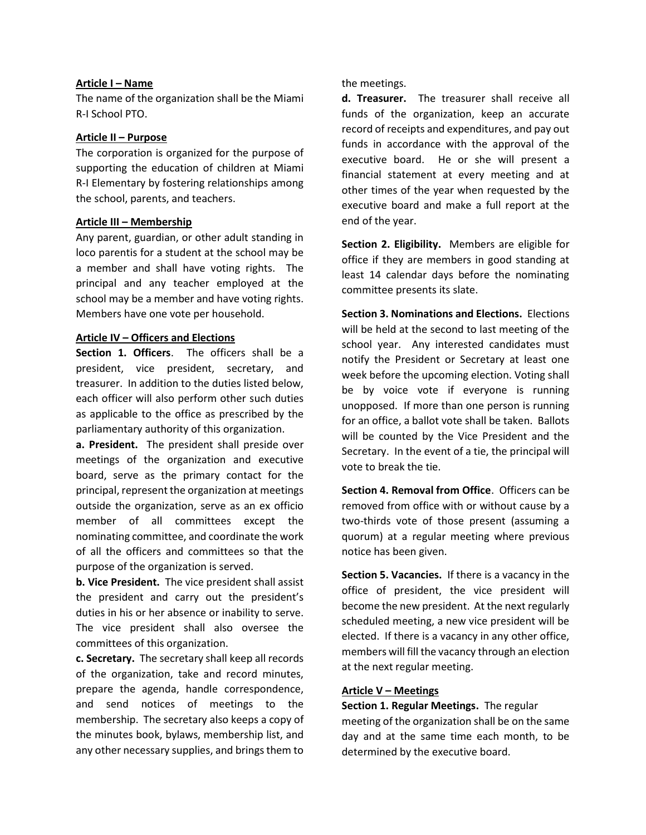# Article I – Name

The name of the organization shall be the Miami R-I School PTO.

# Article II – Purpose

The corporation is organized for the purpose of supporting the education of children at Miami R-I Elementary by fostering relationships among the school, parents, and teachers.

## Article III – Membership

Any parent, guardian, or other adult standing in loco parentis for a student at the school may be a member and shall have voting rights. The principal and any teacher employed at the school may be a member and have voting rights. Members have one vote per household.

# Article IV – Officers and Elections

Section 1. Officers. The officers shall be a president, vice president, secretary, and treasurer. In addition to the duties listed below, each officer will also perform other such duties as applicable to the office as prescribed by the parliamentary authority of this organization.

a. President. The president shall preside over meetings of the organization and executive board, serve as the primary contact for the principal, represent the organization at meetings outside the organization, serve as an ex officio member of all committees except the nominating committee, and coordinate the work of all the officers and committees so that the purpose of the organization is served.

b. Vice President. The vice president shall assist the president and carry out the president's duties in his or her absence or inability to serve. The vice president shall also oversee the committees of this organization.

c. Secretary. The secretary shall keep all records of the organization, take and record minutes, prepare the agenda, handle correspondence, and send notices of meetings to the membership. The secretary also keeps a copy of the minutes book, bylaws, membership list, and any other necessary supplies, and brings them to

the meetings.

d. Treasurer. The treasurer shall receive all funds of the organization, keep an accurate record of receipts and expenditures, and pay out funds in accordance with the approval of the executive board. He or she will present a financial statement at every meeting and at other times of the year when requested by the executive board and make a full report at the end of the year.

Section 2. Eligibility. Members are eligible for office if they are members in good standing at least 14 calendar days before the nominating committee presents its slate.

Section 3. Nominations and Elections. Elections will be held at the second to last meeting of the school year. Any interested candidates must notify the President or Secretary at least one week before the upcoming election. Voting shall be by voice vote if everyone is running unopposed. If more than one person is running for an office, a ballot vote shall be taken. Ballots will be counted by the Vice President and the Secretary. In the event of a tie, the principal will vote to break the tie.

Section 4. Removal from Office. Officers can be removed from office with or without cause by a two-thirds vote of those present (assuming a quorum) at a regular meeting where previous notice has been given.

Section 5. Vacancies. If there is a vacancy in the office of president, the vice president will become the new president. At the next regularly scheduled meeting, a new vice president will be elected. If there is a vacancy in any other office, members will fill the vacancy through an election at the next regular meeting.

## Article V – Meetings

Section 1. Regular Meetings. The regular meeting of the organization shall be on the same day and at the same time each month, to be determined by the executive board.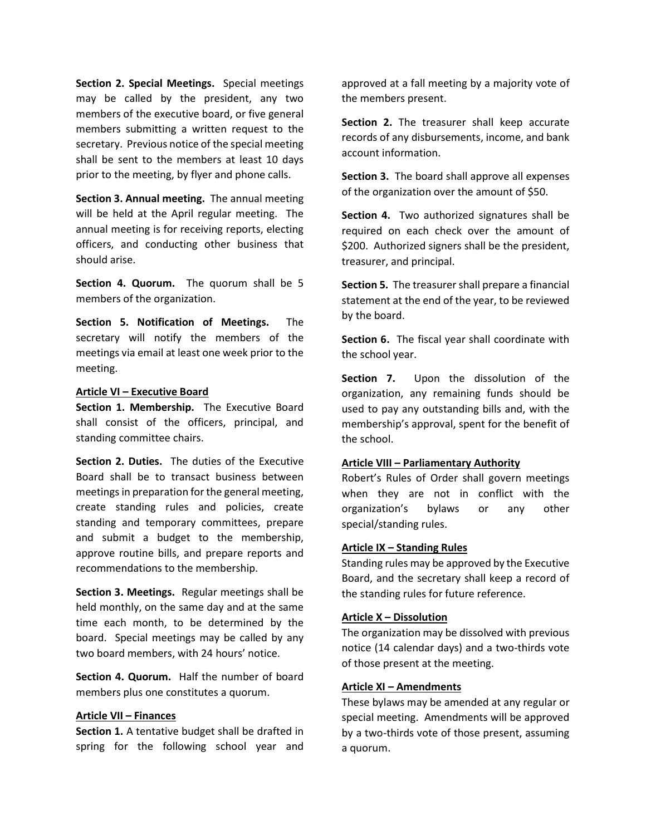Section 2. Special Meetings. Special meetings may be called by the president, any two members of the executive board, or five general members submitting a written request to the secretary. Previous notice of the special meeting shall be sent to the members at least 10 days prior to the meeting, by flyer and phone calls.

Section 3. Annual meeting. The annual meeting will be held at the April regular meeting. The annual meeting is for receiving reports, electing officers, and conducting other business that should arise.

Section 4. Quorum. The quorum shall be 5 members of the organization.

Section 5. Notification of Meetings. The secretary will notify the members of the meetings via email at least one week prior to the meeting.

#### Article VI – Executive Board

Section 1. Membership. The Executive Board shall consist of the officers, principal, and standing committee chairs.

Section 2. Duties. The duties of the Executive Board shall be to transact business between meetings in preparation for the general meeting, create standing rules and policies, create standing and temporary committees, prepare and submit a budget to the membership, approve routine bills, and prepare reports and recommendations to the membership.

Section 3. Meetings. Regular meetings shall be held monthly, on the same day and at the same time each month, to be determined by the board. Special meetings may be called by any two board members, with 24 hours' notice.

Section 4. Quorum. Half the number of board members plus one constitutes a quorum.

#### Article VII – Finances

Section 1. A tentative budget shall be drafted in spring for the following school year and approved at a fall meeting by a majority vote of the members present.

Section 2. The treasurer shall keep accurate records of any disbursements, income, and bank account information.

Section 3. The board shall approve all expenses of the organization over the amount of \$50.

Section 4. Two authorized signatures shall be required on each check over the amount of \$200. Authorized signers shall be the president, treasurer, and principal.

Section 5. The treasurer shall prepare a financial statement at the end of the year, to be reviewed by the board.

Section 6. The fiscal year shall coordinate with the school year.

Section 7. Upon the dissolution of the organization, any remaining funds should be used to pay any outstanding bills and, with the membership's approval, spent for the benefit of the school.

# Article VIII – Parliamentary Authority

Robert's Rules of Order shall govern meetings when they are not in conflict with the organization's bylaws or any other special/standing rules.

#### Article IX – Standing Rules

Standing rules may be approved by the Executive Board, and the secretary shall keep a record of the standing rules for future reference.

## Article X – Dissolution

The organization may be dissolved with previous notice (14 calendar days) and a two-thirds vote of those present at the meeting.

## Article XI – Amendments

These bylaws may be amended at any regular or special meeting. Amendments will be approved by a two-thirds vote of those present, assuming a quorum.